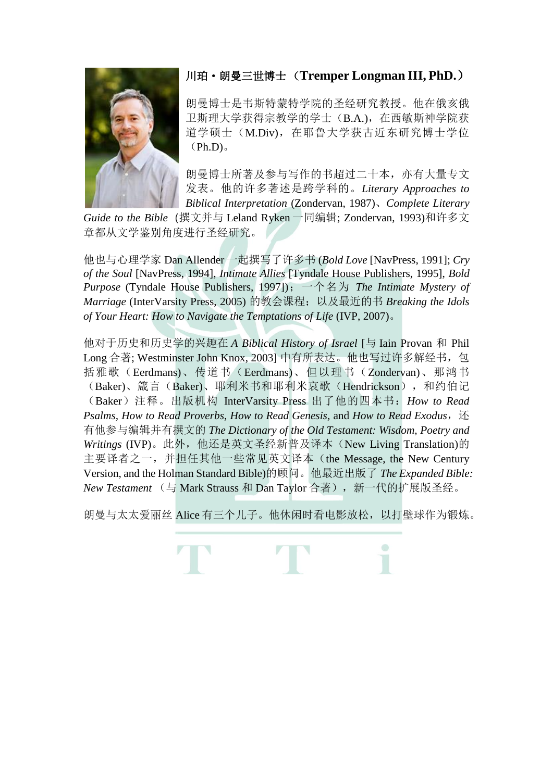

## 川珀·朗曼三世博士 (**Tremper Longman III, PhD.**)

朗曼博士是韦斯特蒙特学院的圣经研究教授。他在俄亥俄 卫斯理大学获得宗教学的学士(B.A.),在西敏斯神学院获 道学硕士(M.Div),在耶鲁大学获古近东研究博士学位  $(Ph.D)$ .

朗曼博士所著及参与写作的书超过二十本,亦有大量专文 发表。他的许多著述是跨学科的。*Literary Approaches to Biblical Interpretation* (Zondervan, 1987)、*Complete Literary* 

*Guide to the Bible*(撰文并与 Leland Ryken 一同编辑; Zondervan, 1993)和许多文 章都从文学鉴别角度进行圣经研究。

他也与心理学家 Dan Allender 一起撰写了许多书 (*Bold Love* [NavPress, 1991]; *Cry of the Soul* [NavPress, 1994], *Intimate Allies* [Tyndale House Publishers, 1995], *Bold Purpose* (Tyndale House Publishers, 1997]);一个名为 *The Intimate Mystery of Marriage* (InterVarsity Press, 2005) 的教会课程;以及最近的书 *Breaking the Idols of Your Heart: How to Navigate the Temptations of Life* (IVP, 2007)。

他对于历史和历史学的兴趣在 *A Biblical History of Israel* [与 Iain Provan 和 Phil Long 合著; Westminster John Knox, 2003] 中有所表达。他也写过许多解经书, 包 括雅歌(Eerdmans)、传道书(Eerdmans)、但以理书(Zondervan)、那鸿书 (Baker)、箴言(Baker)、耶利米书和耶利米哀歌(Hendrickson), 和约伯记 (Baker)注释。出版机构 InterVarsity Press 出了他的四本书:*How to Read Psalms, How to Read Proverbs*, *How to Read Genesis,* and *How to Read Exodus*,还 有他参与编辑并有撰文的 *The Dictionary of the Old Testament: Wisdom, Poetry and Writings* (IVP)。此外,他还是英文圣经新普及译本(New Living Translation)的 主要译者之一,并担任其他一些常见英文译本(the Message, the New Century Version, and the Holman Standard Bible)的顾问。他最近出版了 *The Expanded Bible: New Testament* (与 Mark Strauss 和 Dan Taylor 合著),新一代的扩展版圣经。

朗曼与太太爱丽丝 Alice 有三个儿子。他休闲时看电影放松,以打壁球作为锻炼。

 $\bigcirc$